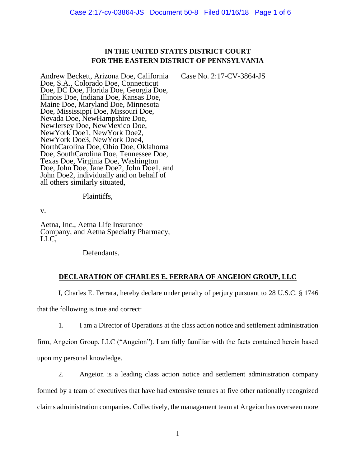## **IN THE UNITED STATES DISTRICT COURT FOR THE EASTERN DISTRICT OF PENNSYLVANIA**

Case No. 2:17-CV-3864-JS

Andrew Beckett, Arizona Doe, California Doe, S.A., Colorado Doe, Connecticut Doe, DC Doe, Florida Doe, Georgia Doe, Illinois Doe, Indiana Doe, Kansas Doe, Maine Doe, Maryland Doe, Minnesota Doe, Mississippi Doe, Missouri Doe, Nevada Doe, NewHampshire Doe, NewJersey Doe, NewMexico Doe, NewYork Doe1, NewYork Doe2, NewYork Doe3, NewYork Doe4, NorthCarolina Doe, Ohio Doe, Oklahoma Doe, SouthCarolina Doe, Tennessee Doe, Texas Doe, Virginia Doe, Washington Doe, John Doe, Jane Doe2, John Doe1, and John Doe2, individually and on behalf of all others similarly situated,

Plaintiffs,

v.

Aetna, Inc., Aetna Life Insurance Company, and Aetna Specialty Pharmacy, LLC,

Defendants.

## **DECLARATION OF CHARLES E. FERRARA OF ANGEION GROUP, LLC**

I, Charles E. Ferrara, hereby declare under penalty of perjury pursuant to 28 U.S.C. § 1746 that the following is true and correct:

1. I am a Director of Operations at the class action notice and settlement administration

firm, Angeion Group, LLC ("Angeion"). I am fully familiar with the facts contained herein based upon my personal knowledge.

2. Angeion is a leading class action notice and settlement administration company formed by a team of executives that have had extensive tenures at five other nationally recognized claims administration companies. Collectively, the management team at Angeion has overseen more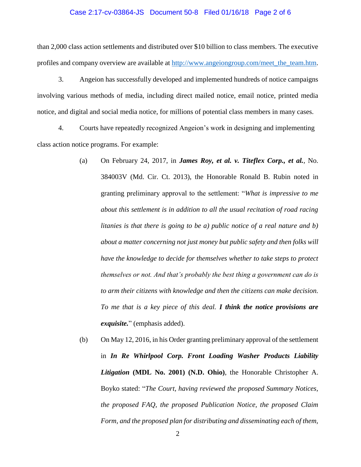#### Case 2:17-cv-03864-JS Document 50-8 Filed 01/16/18 Page 2 of 6

than 2,000 class action settlements and distributed over \$10 billion to class members. The executive profiles and company overview are available at [http://www.angeiongroup.com/meet\\_the\\_team.htm.](http://www.angeiongroup.com/meet_the_team.htm)

3. Angeion has successfully developed and implemented hundreds of notice campaigns involving various methods of media, including direct mailed notice, email notice, printed media notice, and digital and social media notice, for millions of potential class members in many cases.

4. Courts have repeatedly recognized Angeion's work in designing and implementing class action notice programs. For example:

- (a) On February 24, 2017, in *James Roy, et al. v. Titeflex Corp., et al.*, No. 384003V (Md. Cir. Ct. 2013), the Honorable Ronald B. Rubin noted in granting preliminary approval to the settlement: "*What is impressive to me about this settlement is in addition to all the usual recitation of road racing litanies is that there is going to be a) public notice of a real nature and b) about a matter concerning not just money but public safety and then folks will have the knowledge to decide for themselves whether to take steps to protect themselves or not. And that's probably the best thing a government can do is to arm their citizens with knowledge and then the citizens can make decision. To me that is a key piece of this deal. I think the notice provisions are exquisite.*" (emphasis added).
- (b) On May 12, 2016, in his Order granting preliminary approval of the settlement in *In Re Whirlpool Corp. Front Loading Washer Products Liability Litigation* **(MDL No. 2001) (N.D. Ohio)**, the Honorable Christopher A. Boyko stated: "*The Court, having reviewed the proposed Summary Notices, the proposed FAQ, the proposed Publication Notice, the proposed Claim Form, and the proposed plan for distributing and disseminating each of them,*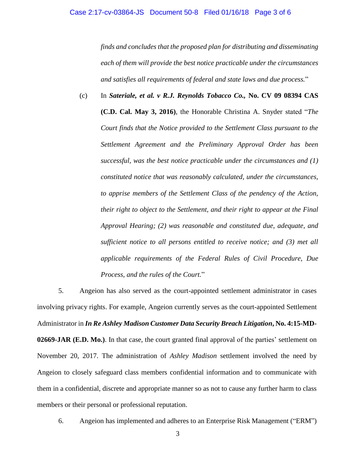# Case 2:17-cv-03864-JS Document 50-8 Filed 01/16/18 Page 3 of 6

*finds and concludes that the proposed plan for distributing and disseminating each of them will provide the best notice practicable under the circumstances and satisfies all requirements of federal and state laws and due process.*"

(c) In *Sateriale, et al. v R.J. Reynolds Tobacco Co.,* **No. CV 09 08394 CAS (C.D. Cal. May 3, 2016)**, the Honorable Christina A. Snyder stated "*The Court finds that the Notice provided to the Settlement Class pursuant to the Settlement Agreement and the Preliminary Approval Order has been successful, was the best notice practicable under the circumstances and (1) constituted notice that was reasonably calculated, under the circumstances, to apprise members of the Settlement Class of the pendency of the Action, their right to object to the Settlement, and their right to appear at the Final Approval Hearing; (2) was reasonable and constituted due, adequate, and sufficient notice to all persons entitled to receive notice; and (3) met all applicable requirements of the Federal Rules of Civil Procedure, Due Process, and the rules of the Court.*"

5. Angeion has also served as the court-appointed settlement administrator in cases involving privacy rights. For example, Angeion currently serves as the court-appointed Settlement Administrator in *In Re Ashley Madison Customer Data Security Breach Litigation***, No. 4:15-MD-02669-JAR (E.D. Mo.)**. In that case, the court granted final approval of the parties' settlement on November 20, 2017. The administration of *Ashley Madison* settlement involved the need by Angeion to closely safeguard class members confidential information and to communicate with them in a confidential, discrete and appropriate manner so as not to cause any further harm to class members or their personal or professional reputation.

6. Angeion has implemented and adheres to an Enterprise Risk Management ("ERM")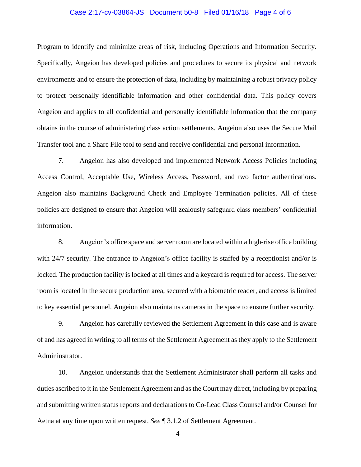# Case 2:17-cv-03864-JS Document 50-8 Filed 01/16/18 Page 4 of 6

Program to identify and minimize areas of risk, including Operations and Information Security. Specifically, Angeion has developed policies and procedures to secure its physical and network environments and to ensure the protection of data, including by maintaining a robust privacy policy to protect personally identifiable information and other confidential data. This policy covers Angeion and applies to all confidential and personally identifiable information that the company obtains in the course of administering class action settlements. Angeion also uses the Secure Mail Transfer tool and a Share File tool to send and receive confidential and personal information.

7. Angeion has also developed and implemented Network Access Policies including Access Control, Acceptable Use, Wireless Access, Password, and two factor authentications. Angeion also maintains Background Check and Employee Termination policies. All of these policies are designed to ensure that Angeion will zealously safeguard class members' confidential information.

8. Angeion's office space and server room are located within a high-rise office building with 24/7 security. The entrance to Angeion's office facility is staffed by a receptionist and/or is locked. The production facility is locked at all times and a keycard is required for access. The server room is located in the secure production area, secured with a biometric reader, and access is limited to key essential personnel. Angeion also maintains cameras in the space to ensure further security.

9. Angeion has carefully reviewed the Settlement Agreement in this case and is aware of and has agreed in writing to all terms of the Settlement Agreement as they apply to the Settlement Admininstrator.

10. Angeion understands that the Settlement Administrator shall perform all tasks and duties ascribed to it in the Settlement Agreement and as the Court may direct, including by preparing and submitting written status reports and declarations to Co-Lead Class Counsel and/or Counsel for Aetna at any time upon written request. *See* ¶ 3.1.2 of Settlement Agreement.

4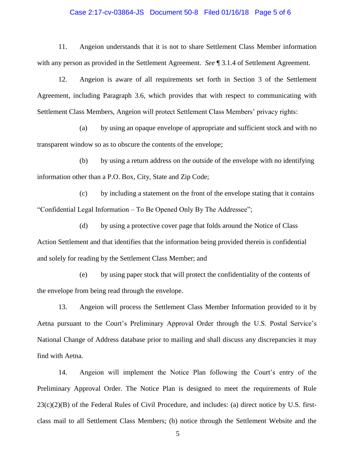#### Case 2:17-cv-03864-JS Document 50-8 Filed 01/16/18 Page 5 of 6

11. Angeion understands that it is not to share Settlement Class Member information with any person as provided in the Settlement Agreement. *See* ¶ 3.1.4 of Settlement Agreement.

12. Angeion is aware of all requirements set forth in Section 3 of the Settlement Agreement, including Paragraph 3.6, which provides that with respect to communicating with Settlement Class Members, Angeion will protect Settlement Class Members' privacy rights:

(a) by using an opaque envelope of appropriate and sufficient stock and with no transparent window so as to obscure the contents of the envelope;

(b) by using a return address on the outside of the envelope with no identifying information other than a P.O. Box, City, State and Zip Code;

(c) by including a statement on the front of the envelope stating that it contains "Confidential Legal Information – To Be Opened Only By The Addressee";

(d) by using a protective cover page that folds around the Notice of Class Action Settlement and that identifies that the information being provided therein is confidential and solely for reading by the Settlement Class Member; and

(e) by using paper stock that will protect the confidentiality of the contents of the envelope from being read through the envelope.

13. Angeion will process the Settlement Class Member Information provided to it by Aetna pursuant to the Court's Preliminary Approval Order through the U.S. Postal Service's National Change of Address database prior to mailing and shall discuss any discrepancies it may find with Aetna.

14. Angeion will implement the Notice Plan following the Court's entry of the Preliminary Approval Order. The Notice Plan is designed to meet the requirements of Rule  $23(c)(2)(B)$  of the Federal Rules of Civil Procedure, and includes: (a) direct notice by U.S. firstclass mail to all Settlement Class Members; (b) notice through the Settlement Website and the